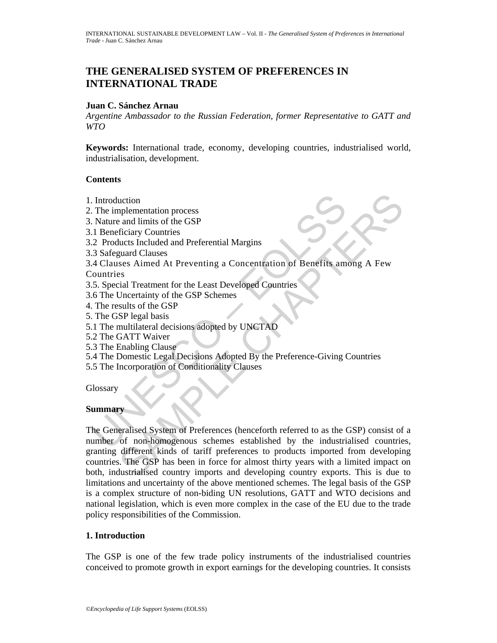# **THE GENERALISED SYSTEM OF PREFERENCES IN INTERNATIONAL TRADE**

### **Juan C. Sánchez Arnau**

*Argentine Ambassador to the Russian Federation, former Representative to GATT and WTO* 

**Keywords:** International trade, economy, developing countries, industrialised world, industrialisation, development.

### **Contents**

- 1. Introduction
- 2. The implementation process
- 3. Nature and limits of the GSP
- 3.1 Beneficiary Countries
- 3.2 Products Included and Preferential Margins
- 3.3 Safeguard Clauses
- 3.4 Clauses Aimed At Preventing a Concentration of Benefits among A Few Countries
- 3.5. Special Treatment for the Least Developed Countries
- 3.6 The Uncertainty of the GSP Schemes
- 4. The results of the GSP
- 5. The GSP legal basis
- 5.1 The multilateral decisions adopted by UNCTAD
- 5.2 The GATT Waiver
- 5.3 The Enabling Clause
- 5.4 The Domestic Legal Decisions Adopted By the Preference-Giving Countries
- 5.5 The Incorporation of Conditionality Clauses

**Glossary** 

# **Summary**

Introduction<br>
The implementation process<br>
Nature and limits of the GSP<br>
1 Beneficiary Countries<br>
2 Products Included and Preferential Margins<br>
3 Safeguard Clauses<br>
4 Clauses Aimed At Preventing a Concentration of Benefits notential<br>
and limits of the GSP<br>
and limits of the GSP<br>
ficiary Countries<br>
fluctions<br>
fluctions Included and Preferential Margins<br>
ses Samed At Preventing a Concentration of Benefits among A Few<br>
ses<br>
ses Samed At Prevent The Generalised System of Preferences (henceforth referred to as the GSP) consist of a number of non-homogenous schemes established by the industrialised countries, granting different kinds of tariff preferences to products imported from developing countries. The GSP has been in force for almost thirty years with a limited impact on both, industrialised country imports and developing country exports. This is due to limitations and uncertainty of the above mentioned schemes. The legal basis of the GSP is a complex structure of non-biding UN resolutions, GATT and WTO decisions and national legislation, which is even more complex in the case of the EU due to the trade policy responsibilities of the Commission.

# **1. Introduction**

The GSP is one of the few trade policy instruments of the industrialised countries conceived to promote growth in export earnings for the developing countries. It consists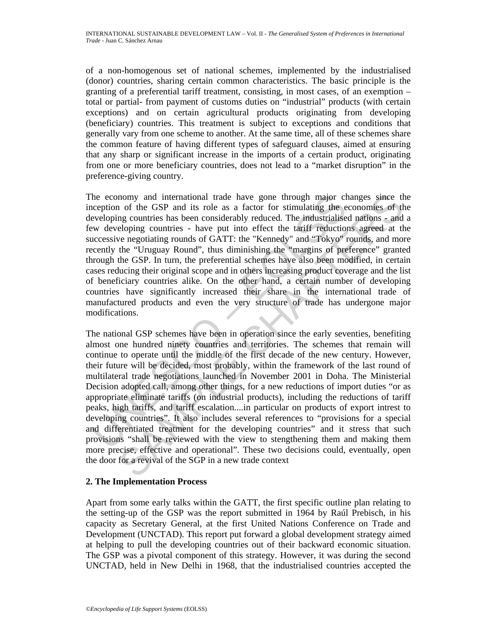of a non-homogenous set of national schemes, implemented by the industrialised (donor) countries, sharing certain common characteristics. The basic principle is the granting of a preferential tariff treatment, consisting, in most cases, of an exemption – total or partial- from payment of customs duties on "industrial" products (with certain exceptions) and on certain agricultural products originating from developing (beneficiary) countries. This treatment is subject to exceptions and conditions that generally vary from one scheme to another. At the same time, all of these schemes share the common feature of having different types of safeguard clauses, aimed at ensuring that any sharp or significant increase in the imports of a certain product, originating from one or more beneficiary countries, does not lead to a "market disruption" in the preference-giving country.

he economy and international trade have gone through major cheception of the GSP and its role as a factor for simulating the eveloping countries has been considerably reduced. The industrialise wwe developing countries - h The economy and international trade have gone through major changes since the inception of the GSP and its role as a factor for stimulating the economies of the developing countries has been considerably reduced. The industrialised nations - and a few developing countries - have put into effect the tariff reductions agreed at the successive negotiating rounds of GATT: the "Kennedy" and "Tokyo" rounds, and more recently the "Uruguay Round", thus diminishing the "margins of preference" granted through the GSP. In turn, the preferential schemes have also been modified, in certain cases reducing their original scope and in others increasing product coverage and the list of beneficiary countries alike. On the other hand, a certain number of developing countries have significantly increased their share in the international trade of manufactured products and even the very structure of trade has undergone major modifications.

nomy and international trade have gone through major changes since the off the GBP and its role as a factor for stimulating the conomics of the displementies and trive energotiating rountries in the electron stime electron The national GSP schemes have been in operation since the early seventies, benefiting almost one hundred ninety countries and territories. The schemes that remain will continue to operate until the middle of the first decade of the new century. However, their future will be decided, most probably, within the framework of the last round of multilateral trade negotiations launched in November 2001 in Doha. The Ministerial Decision adopted call, among other things, for a new reductions of import duties "or as appropriate eliminate tariffs (on industrial products), including the reductions of tariff peaks, high tariffs, and tariff escalation....in particular on products of export intrest to developing countries". It also includes several references to "provisions for a special and differentiated treatment for the developing countries" and it stress that such provisions "shall be reviewed with the view to stengthening them and making them more precise, effective and operational". These two decisions could, eventually, open the door for a revival of the SGP in a new trade context

# **2. The Implementation Process**

Apart from some early talks within the GATT, the first specific outline plan relating to the setting-up of the GSP was the report submitted in 1964 by Raúl Prebisch, in his capacity as Secretary General, at the first United Nations Conference on Trade and Development (UNCTAD). This report put forward a global development strategy aimed at helping to pull the developing countries out of their backward economic situation. The GSP was a pivotal component of this strategy. However, it was during the second UNCTAD, held in New Delhi in 1968, that the industrialised countries accepted the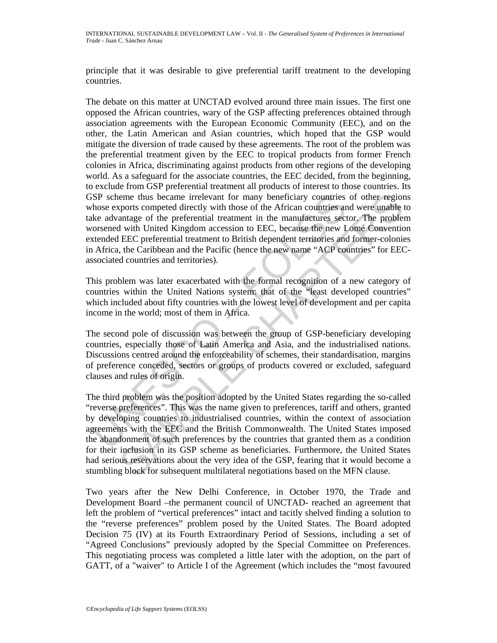principle that it was desirable to give preferential tariff treatment to the developing countries.

SSP scheme thus became irrelevant for many beneficiary countries<br>those exports competed directly with those of the African countries are<br>the devantage of the perferential treatment in the manufactures sect<br>orsened with Uni The debate on this matter at UNCTAD evolved around three main issues. The first one opposed the African countries, wary of the GSP affecting preferences obtained through association agreements with the European Economic Community (EEC), and on the other, the Latin American and Asian countries, which hoped that the GSP would mitigate the diversion of trade caused by these agreements. The root of the problem was the preferential treatment given by the EEC to tropical products from former French colonies in Africa, discriminating against products from other regions of the developing world. As a safeguard for the associate countries, the EEC decided, from the beginning, to exclude from GSP preferential treatment all products of interest to those countries. Its GSP scheme thus became irrelevant for many beneficiary countries of other regions whose exports competed directly with those of the African countries and were unable to take advantage of the preferential treatment in the manufactures sector. The problem worsened with United Kingdom accession to EEC, because the new Lomé Convention extended EEC preferential treatment to British dependent territories and former-colonies in Africa, the Caribbean and the Pacific (hence the new name "ACP countries" for EECassociated countries and territories).

This problem was later exacerbated with the formal recognition of a new category of countries within the United Nations system: that of the "least developed countries" which included about fifty countries with the lowest level of development and per capita income in the world; most of them in Africa.

The second pole of discussion was between the group of GSP-beneficiary developing countries, especially those of Latin America and Asia, and the industrialised nations. Discussions centred around the enforceability of schemes, their standardisation, margins of preference conceded, sectors or groups of products covered or excluded, safeguard clauses and rules of origin.

eme thus became irrelevant for many beneficiary countries of other region<br>convents competed directly with those of the African countries and were unable<br>antage of the preferential treatment in the manufactures sector. The The third problem was the position adopted by the United States regarding the so-called "reverse preferences". This was the name given to preferences, tariff and others, granted by developing countries to industrialised countries, within the context of association agreements with the EEC and the British Commonwealth. The United States imposed the abandonment of such preferences by the countries that granted them as a condition for their inclusion in its GSP scheme as beneficiaries. Furthermore, the United States had serious reservations about the very idea of the GSP, fearing that it would become a stumbling block for subsequent multilateral negotiations based on the MFN clause.

Two years after the New Delhi Conference, in October 1970, the Trade and Development Board –the permanent council of UNCTAD- reached an agreement that left the problem of "vertical preferences" intact and tacitly shelved finding a solution to the "reverse preferences" problem posed by the United States. The Board adopted Decision 75 (IV) at its Fourth Extraordinary Period of Sessions, including a set of "Agreed Conclusions" previously adopted by the Special Committee on Preferences. This negotiating process was completed a little later with the adoption, on the part of GATT, of a "waiver" to Article I of the Agreement (which includes the "most favoured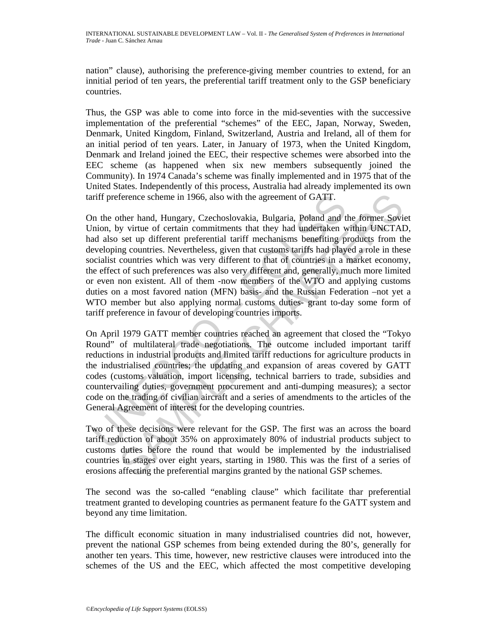nation" clause), authorising the preference-giving member countries to extend, for an innitial period of ten years, the preferential tariff treatment only to the GSP beneficiary countries.

Thus, the GSP was able to come into force in the mid-seventies with the successive implementation of the preferential "schemes" of the EEC, Japan, Norway, Sweden, Denmark, United Kingdom, Finland, Switzerland, Austria and Ireland, all of them for an initial period of ten years. Later, in January of 1973, when the United Kingdom, Denmark and Ireland joined the EEC, their respective schemes were absorbed into the EEC scheme (as happened when six new members subsequently joined the Community). In 1974 Canada's scheme was finally implemented and in 1975 that of the United States. Independently of this process, Australia had already implemented its own tariff preference scheme in 1966, also with the agreement of GATT.

inff preference scheme in 1966, also with the agreement of GATT.<br>
In the other hand, Hungary, Czechoslovakia, Bulgaria, Poland and thion, by virtue of certain commitments that they had undertaken was das set up different p ference scheme in 1966, also with the agreement of GATT.<br>
ther hand, Hungary, Czechoslovakia, Bulgaria, Poland and the former Soviet<br>
set up different perferential tariff mechanisms benefiting products from the<br>
set up dif On the other hand, Hungary, Czechoslovakia, Bulgaria, Poland and the former Soviet Union, by virtue of certain commitments that they had undertaken within UNCTAD, had also set up different preferential tariff mechanisms benefiting products from the developing countries. Nevertheless, given that customs tariffs had played a role in these socialist countries which was very different to that of countries in a market economy, the effect of such preferences was also very different and, generally, much more limited or even non existent. All of them -now members of the WTO and applying customs duties on a most favored nation (MFN) basis- and the Russian Federation –not yet a WTO member but also applying normal customs duties- grant to-day some form of tariff preference in favour of developing countries imports.

On April 1979 GATT member countries reached an agreement that closed the "Tokyo Round" of multilateral trade negotiations. The outcome included important tariff reductions in industrial products and limited tariff reductions for agriculture products in the industrialised countries; the updating and expansion of areas covered by GATT codes (customs valuation, import licensing, technical barriers to trade, subsidies and countervailing duties, government procurement and anti-dumping measures); a sector code on the trading of civilian aircraft and a series of amendments to the articles of the General Agreement of interest for the developing countries.

Two of these decisions were relevant for the GSP. The first was an across the board tariff reduction of about 35% on approximately 80% of industrial products subject to customs duties before the round that would be implemented by the industrialised countries in stages over eight years, starting in 1980. This was the first of a series of erosions affecting the preferential margins granted by the national GSP schemes.

The second was the so-called "enabling clause" which facilitate thar preferential treatment granted to developing countries as permanent feature fo the GATT system and beyond any time limitation.

The difficult economic situation in many industrialised countries did not, however, prevent the national GSP schemes from being extended during the 80's, generally for another ten years. This time, however, new restrictive clauses were introduced into the schemes of the US and the EEC, which affected the most competitive developing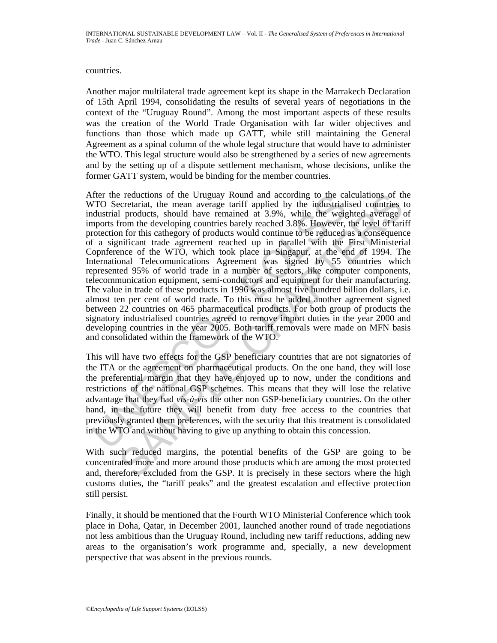countries.

Another major multilateral trade agreement kept its shape in the Marrakech Declaration of 15th April 1994, consolidating the results of several years of negotiations in the context of the "Uruguay Round". Among the most important aspects of these results was the creation of the World Trade Organisation with far wider objectives and functions than those which made up GATT, while still maintaining the General Agreement as a spinal column of the whole legal structure that would have to administer the WTO. This legal structure would also be strengthened by a series of new agreements and by the setting up of a dispute settlement mechanism, whose decisions, unlike the former GATT system, would be binding for the member countries.

ther the reductions of the Uruguay Round and according to the care<br>To Secretariat, the mean average tariff applied by the industrial<br>dustrial products, should have remained at 3.9%, while the weighty<br>orotection for this c r reductions of the Uruguay Round and according to the calculations of the contrinsies<br>recretariat, the mean average tariff applied by the industrialised countries I<br>products, should have remained at 3.9%, while the weigh After the reductions of the Uruguay Round and according to the calculations of the WTO Secretariat, the mean average tariff applied by the industrialised countries to industrial products, should have remained at 3.9%, while the weighted average of imports from the developing countries barely reached 3.8%. However, the level of tariff protection for this cathegory of products would continue to be reduced as a consequence of a significant trade agreement reached up in parallel with the First Ministerial Copnference of the WTO, which took place in Singapur, at the end of 1994. The International Telecomunications Agreement was signed by 55 countries which represented 95% of world trade in a number of sectors, like computer components, telecommunication equipment, semi-conductors and equipment for their manufacturing. The value in trade of these products in 1996 was almost five hundred billion dollars, i.e. almost ten per cent of world trade. To this must be added another agreement signed between 22 countries on 465 pharmaceutical products. For both group of products the signatory industrialised countries agreed to remove import duties in the year 2000 and developing countries in the year 2005. Both tariff removals were made on MFN basis and consolidated within the framework of the WTO.

This will have two effects for the GSP beneficiary countries that are not signatories of the ITA or the agreement on pharmaceutical products. On the one hand, they will lose the preferential margin that they have enjoyed up to now, under the conditions and restrictions of the national GSP schemes. This means that they will lose the relative advantage that they had *vis-à-vis* the other non GSP-beneficiary countries. On the other hand, in the future they will benefit from duty free access to the countries that previously granted them preferences, with the security that this treatment is consolidated in the WTO and without having to give up anything to obtain this concession.

With such reduced margins, the potential benefits of the GSP are going to be concentrated more and more around those products which are among the most protected and, therefore, excluded from the GSP. It is precisely in these sectors where the high customs duties, the "tariff peaks" and the greatest escalation and effective protection still persist.

Finally, it should be mentioned that the Fourth WTO Ministerial Conference which took place in Doha, Qatar, in December 2001, launched another round of trade negotiations not less ambitious than the Uruguay Round, including new tariff reductions, adding new areas to the organisation's work programme and, specially, a new development perspective that was absent in the previous rounds.